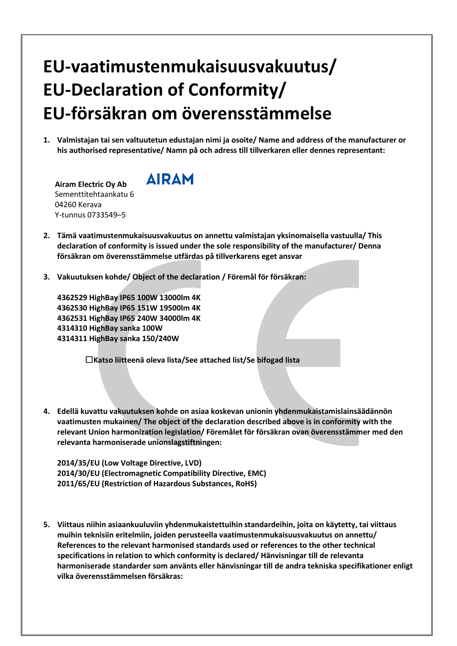## **EU-vaatimustenmukaisuusvakuutus/ EU-Declaration of Conformity/ EU-försäkran om överensstämmelse**

**1. Valmistajan tai sen valtuutetun edustajan nimi ja osoite/ Name and address of the manufacturer or his authorised representative/ Namn på och adress till tillverkaren eller dennes representant:**

**Airam Electric Oy Ab**  Sementtitehtaankatu 6 04260 Kerava Y-tunnus 0733549–5



- **2. Tämä vaatimustenmukaisuusvakuutus on annettu valmistajan yksinomaisella vastuulla/ This declaration of conformity is issued under the sole responsibility of the manufacturer/ Denna försäkran om överensstämmelse utfärdas på tillverkarens eget ansvar**
- **3. Vakuutuksen kohde/ Object of the declaration / Föremål för försäkran:**

 **HighBay IP65 100W 13000lm 4K HighBay IP65 151W 19500lm 4K HighBay IP65 240W 34000lm 4K HighBay sanka 100W HighBay sanka 150/240W**

☐**Katso liitteenä oleva lista/See attached list/Se bifogad lista**

**4. Edellä kuvattu vakuutuksen kohde on asiaa koskevan unionin yhdenmukaistamislainsäädännön vaatimusten mukainen/ The object of the declaration described above is in conformity with the relevant Union harmonization legislation/ Föremålet för försäkran ovan överensstämmer med den relevanta harmoniserade unionslagstiftningen:**

**2014/35/EU (Low Voltage Directive, LVD) 2014/30/EU (Electromagnetic Compatibility Directive, EMC) 2011/65/EU (Restriction of Hazardous Substances, RoHS)**

**5. Viittaus niihin asiaankuuluviin yhdenmukaistettuihin standardeihin, joita on käytetty, tai viittaus muihin teknisiin eritelmiin, joiden perusteella vaatimustenmukaisuusvakuutus on annettu/ References to the relevant harmonised standards used or references to the other technical specifications in relation to which conformity is declared/ Hänvisningar till de relevanta harmoniserade standarder som använts eller hänvisningar till de andra tekniska specifikationer enligt vilka överensstämmelsen försäkras:**